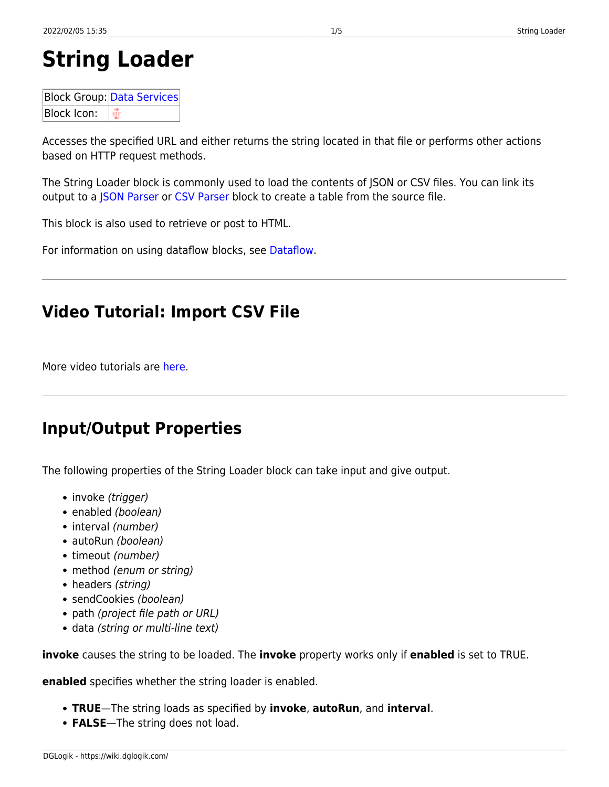# **String Loader**

**Block Group: [Data Services](https://wiki.dglogik.com/dglux5_wiki:dataflow:dataflow_blocks_reference:data_services:home)** Block Icon: ⊕

Accesses the specified URL and either returns the string located in that file or performs other actions based on HTTP request methods.

The String Loader block is commonly used to load the contents of JSON or CSV files. You can link its output to a [JSON Parser](https://wiki.dglogik.com/dglux5_wiki:dataflow:dataflow_blocks_reference:table_operations:json_parser) or [CSV Parser](https://wiki.dglogik.com/dglux5_wiki:dataflow:dataflow_blocks_reference:table_operations:csv_parser) block to create a table from the source file.

This block is also used to retrieve or post to HTML.

For information on using dataflow blocks, see [Dataflow](https://wiki.dglogik.com/dglux5_wiki:dataflow:home).

## **Video Tutorial: Import CSV File**

More video tutorials are [here.](http://dglogik.com/videos)

### **Input/Output Properties**

The following properties of the String Loader block can take input and give output.

- invoke (trigger)
- enabled (boolean)
- interval (number)
- autoRun (boolean)
- timeout (number)
- method (enum or string)
- headers (string)
- sendCookies (boolean)
- path (project file path or URL)
- data (string or multi-line text)

**invoke** causes the string to be loaded. The **invoke** property works only if **enabled** is set to TRUE.

**enabled** specifies whether the string loader is enabled.

- **TRUE**—The string loads as specified by **invoke**, **autoRun**, and **interval**.
- **FALSE**—The string does not load.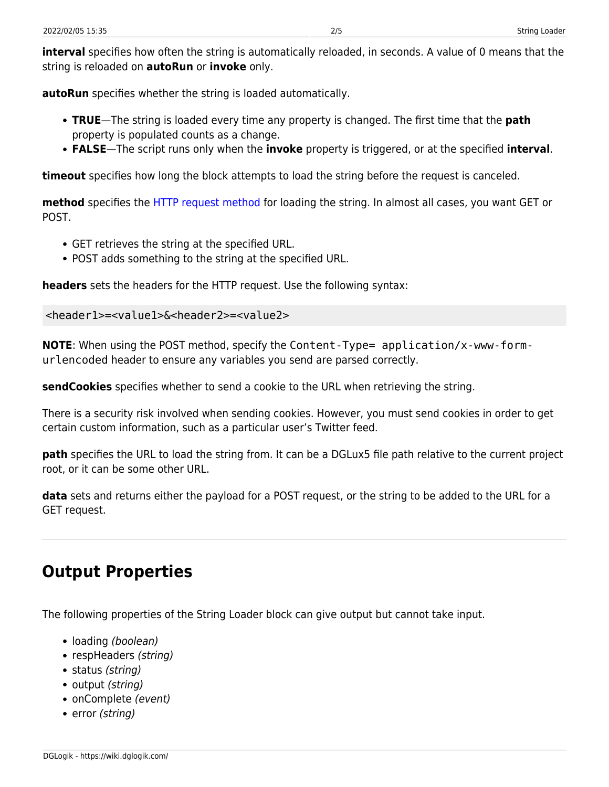**interval** specifies how often the string is automatically reloaded, in seconds. A value of 0 means that the string is reloaded on **autoRun** or **invoke** only.

**autoRun** specifies whether the string is loaded automatically.

- **TRUE**—The string is loaded every time any property is changed. The first time that the **path** property is populated counts as a change.
- **FALSE**—The script runs only when the **invoke** property is triggered, or at the specified **interval**.

**timeout** specifies how long the block attempts to load the string before the request is canceled.

**method** specifies the [HTTP request method](http://www.w3.org/Protocols/rfc2616/rfc2616-sec9.html) for loading the string. In almost all cases, you want GET or POST.

- GET retrieves the string at the specified URL.
- POST adds something to the string at the specified URL.

**headers** sets the headers for the HTTP request. Use the following syntax:

```
<header1>=<value1>&<header2>=<value2>
```
**NOTE**: When using the POST method, specify the Content-Type= application/x-www-formurlencoded header to ensure any variables you send are parsed correctly.

**sendCookies** specifies whether to send a cookie to the URL when retrieving the string.

There is a security risk involved when sending cookies. However, you must send cookies in order to get certain custom information, such as a particular user's Twitter feed.

**path** specifies the URL to load the string from. It can be a DGLux5 file path relative to the current project root, or it can be some other URL.

**data** sets and returns either the payload for a POST request, or the string to be added to the URL for a GET request.

## **Output Properties**

The following properties of the String Loader block can give output but cannot take input.

- loading (boolean)
- respHeaders (string)
- status (string)
- output (string)
- onComplete (event)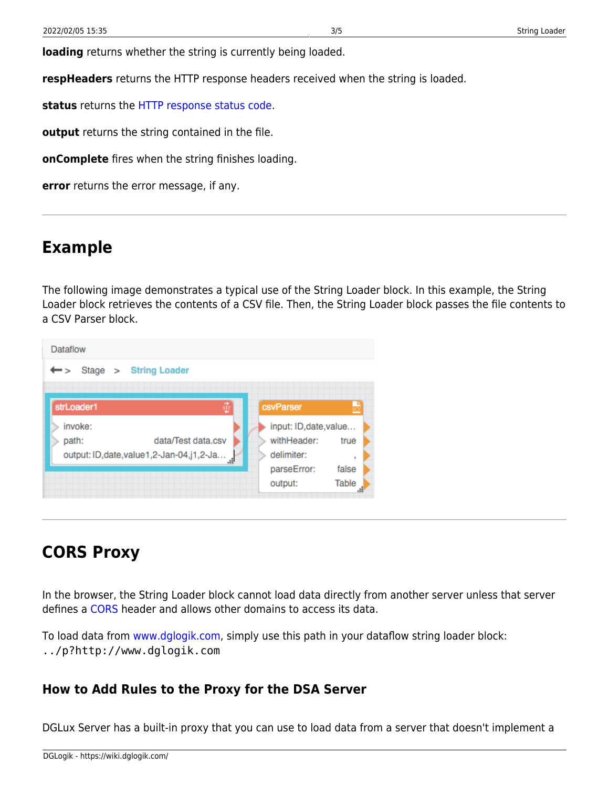**loading** returns whether the string is currently being loaded.

**respHeaders** returns the HTTP response headers received when the string is loaded.

**status** returns the [HTTP response status code](https://en.wikipedia.org/wiki/List_of_HTTP_status_codes).

**output** returns the string contained in the file.

**onComplete** fires when the string finishes loading.

**error** returns the error message, if any.

#### **Example**

The following image demonstrates a typical use of the String Loader block. In this example, the String Loader block retrieves the contents of a CSV file. Then, the String Loader block passes the file contents to a CSV Parser block.



### **CORS Proxy**

In the browser, the String Loader block cannot load data directly from another server unless that server defines a [CORS](https://en.wikipedia.org/wiki/Cross-origin_resource_sharing) header and allows other domains to access its data.

To load data from [www.dglogik.com,](http://www.dglogik.com) simply use this path in your dataflow string loader block: ../p?http://www.dglogik.com

#### **How to Add Rules to the Proxy for the DSA Server**

DGLux Server has a built-in proxy that you can use to load data from a server that doesn't implement a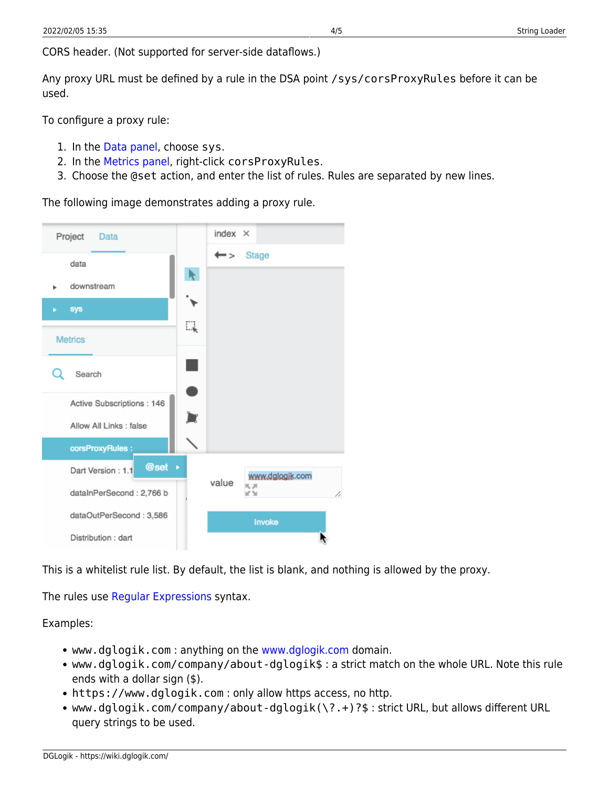CORS header. (Not supported for server-side dataflows.)

Any proxy URL must be defined by a rule in the DSA point /sys/corsProxyRules before it can be used.

To configure a proxy rule:

- 1. In the [Data panel](https://wiki.dglogik.com/dglux5_wiki:workspace_and_workflow:panels_and_menus:data_panel), choose sys.
- 2. In the [Metrics panel,](https://wiki.dglogik.com/dglux5_wiki:workspace_and_workflow:panels_and_menus:metrics_panel) right-click corsProxyRules.
- 3. Choose the @set action, and enter the list of rules. Rules are separated by new lines.

The following image demonstrates adding a proxy rule.



This is a whitelist rule list. By default, the list is blank, and nothing is allowed by the proxy.

The rules use [Regular Expressions](https://developer.mozilla.org/en-US/docs/Web/JavaScript/Guide/Regular_Expressions) syntax.

Examples:

- www.dglogik.com : anything on the [www.dglogik.com](http://www.dglogik.com) domain.
- www.dglogik.com/company/about-dglogik\$ : a strict match on the whole URL. Note this rule ends with a dollar sign (\$).
- https://www.dglogik.com : only allow https access, no http.
- www.dglogik.com/company/about-dglogik(\?.+)?\$ : strict URL, but allows different URL query strings to be used.